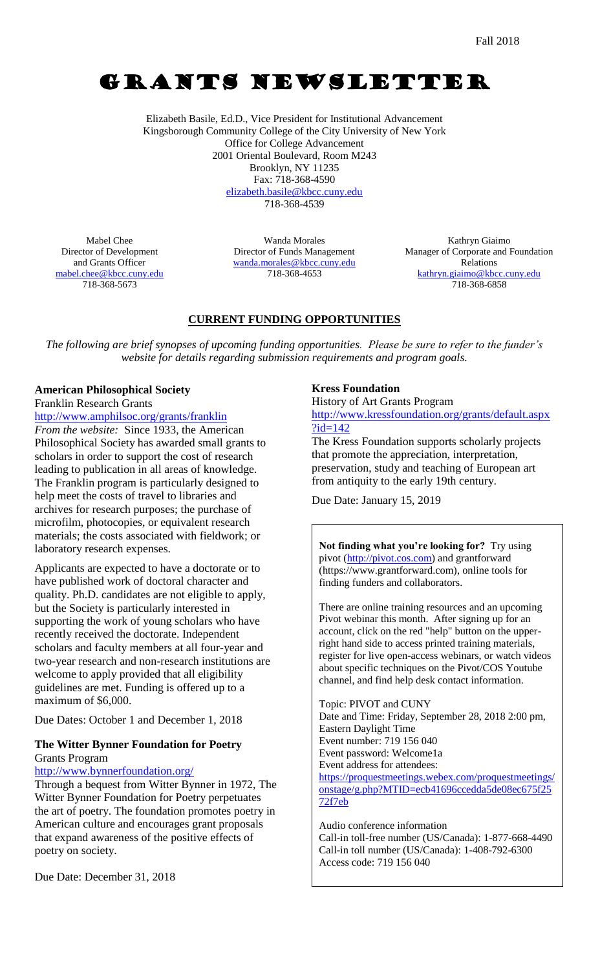# GRANTS NEWSLETTER

Elizabeth Basile, Ed.D., Vice President for Institutional Advancement Kingsborough Community College of the City University of New York Office for College Advancement 2001 Oriental Boulevard, Room M243 Brooklyn, NY 11235 Fax: 718-368-4590 [elizabeth.basile@kbcc.cuny.edu](mailto:elizabeth.basile@kbcc.cuny.edu) 718-368-4539

Mabel Chee Director of Development and Grants Officer [mabel.chee@kbcc.cuny.edu](mailto:mabel.chee@kbcc.cuny.edu) 718-368-5673

Wanda Morales Director of Funds Management [wanda.morales@kbcc.cuny.edu](mailto:wanda.morales@kbcc.cuny.edu) 718-368-4653

Kathryn Giaimo Manager of Corporate and Foundation Relations [kathryn.giaimo@kbcc.cuny.edu](mailto:kathryn.giaimo@kbcc.cuny.edu) 718-368-6858

## **CURRENT FUNDING OPPORTUNITIES**

*The following are brief synopses of upcoming funding opportunities. Please be sure to refer to the funder's website for details regarding submission requirements and program goals.*

# **American Philosophical Society**

Franklin Research Grants

<http://www.amphilsoc.org/grants/franklin> *From the website:* Since 1933, the American Philosophical Society has awarded small grants to scholars in order to support the cost of research leading to publication in all areas of knowledge. The Franklin program is particularly designed to help meet the costs of travel to libraries and archives for research purposes; the purchase of microfilm, photocopies, or equivalent research materials; the costs associated with fieldwork; or laboratory research expenses.

Applicants are expected to have a doctorate or to have published work of doctoral character and quality. Ph.D. candidates are not eligible to apply, but the Society is particularly interested in supporting the work of young scholars who have recently received the doctorate. Independent scholars and faculty members at all four-year and two-year research and non-research institutions are welcome to apply provided that all eligibility guidelines are met. Funding is offered up to a maximum of \$6,000.

Due Dates: October 1 and December 1, 2018

### **The Witter Bynner Foundation for Poetry** Grants Program

<http://www.bynnerfoundation.org/>

Through a bequest from Witter Bynner in 1972, The Witter Bynner Foundation for Poetry perpetuates the art of poetry. The foundation promotes poetry in American culture and encourages grant proposals that expand awareness of the positive effects of poetry on society.

Due Date: December 31, 2018

### **Kress Foundation**

History of Art Grants Program

[http://www.kressfoundation.org/grants/default.aspx](http://www.kressfoundation.org/grants/default.aspx?id=142)  $?id=142$ 

The Kress Foundation supports scholarly projects that promote the appreciation, interpretation, preservation, study and teaching of European art from antiquity to the early 19th century.

Due Date: January 15, 2019

**Not finding what you're looking for?** Try using pivot [\(http://pivot.cos.com\)](http://pivot.cos.com/) and grantforward (https://www.grantforward.com), online tools for finding funders and collaborators.

There are online training resources and an upcoming Pivot webinar this month. After signing up for an account, click on the red "help" button on the upperright hand side to access printed training materials, register for live open-access webinars, or watch videos about specific techniques on the Pivot/COS Youtube channel, and find help desk contact information.

Topic: PIVOT and CUNY Date and Time: Friday, September 28, 2018 2:00 pm, Eastern Daylight Time Event number: 719 156 040 Event password: Welcome1a Event address for attendees: [https://proquestmeetings.webex.com/proquestmeetings/](https://proquestmeetings.webex.com/proquestmeetings/onstage/g.php?MTID=ecb41696ccedda5de08ec675f2572f7eb)

[onstage/g.php?MTID=ecb41696ccedda5de08ec675f25](https://proquestmeetings.webex.com/proquestmeetings/onstage/g.php?MTID=ecb41696ccedda5de08ec675f2572f7eb) [72f7eb](https://proquestmeetings.webex.com/proquestmeetings/onstage/g.php?MTID=ecb41696ccedda5de08ec675f2572f7eb)

Audio conference information Call-in toll-free number (US/Canada): 1-877-668-4490 Call-in toll number (US/Canada): 1-408-792-6300 Access code: 719 156 040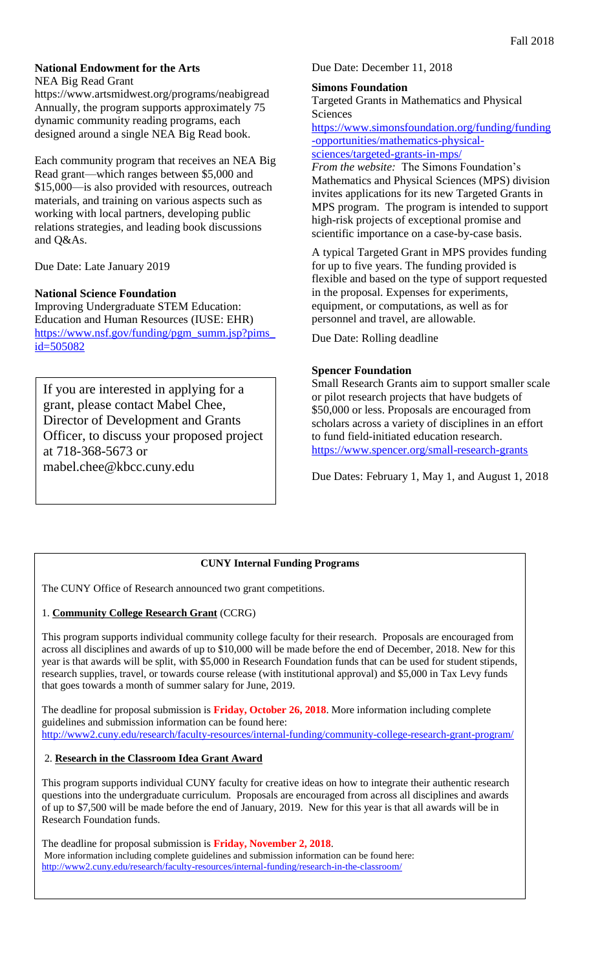#### **National Endowment for the Arts**

NEA Big Read Grant

https://www.artsmidwest.org/programs/neabigread Annually, the program supports approximately 75 dynamic community reading programs, each designed around a single NEA Big Read book.

Each community program that receives an NEA Big Read grant—which ranges between \$5,000 and \$15,000—is also provided with resources, outreach materials, and training on various aspects such as working with local partners, developing public relations strategies, and leading book discussions and Q&As.

Due Date: Late January 2019

#### **National Science Foundation**

Improving Undergraduate STEM Education: Education and Human Resources (IUSE: EHR) [https://www.nsf.gov/funding/pgm\\_summ.jsp?pims\\_](https://www.nsf.gov/funding/pgm_summ.jsp?pims_id=505082) [id=505082](https://www.nsf.gov/funding/pgm_summ.jsp?pims_id=505082)

If you are interested in applying for a grant, please contact Mabel Chee, Director of Development and Grants Officer, to discuss your proposed project at 718-368-5673 or mabel.chee@kbcc.cuny.edu

#### Due Date: December 11, 2018

#### **Simons Foundation**

Targeted Grants in Mathematics and Physical Sciences

[https://www.simonsfoundation.org/funding/funding](https://www.simonsfoundation.org/funding/funding-opportunities/mathematics-physical-sciences/targeted-grants-in-mps/) [-opportunities/mathematics-physical](https://www.simonsfoundation.org/funding/funding-opportunities/mathematics-physical-sciences/targeted-grants-in-mps/)[sciences/targeted-grants-in-mps/](https://www.simonsfoundation.org/funding/funding-opportunities/mathematics-physical-sciences/targeted-grants-in-mps/)

*From the website:* The Simons Foundation's Mathematics and Physical Sciences (MPS) division invites applications for its new Targeted Grants in MPS program. The program is intended to support high-risk projects of exceptional promise and scientific importance on a case-by-case basis.

A typical Targeted Grant in MPS provides funding for up to five years. The funding provided is flexible and based on the type of support requested in the proposal. Expenses for experiments, equipment, or computations, as well as for personnel and travel, are allowable.

Due Date: Rolling deadline

### **Spencer Foundation**

Small Research Grants aim to support smaller scale or pilot research projects that have budgets of \$50,000 or less. Proposals are encouraged from scholars across a variety of disciplines in an effort to fund field-initiated education research. <https://www.spencer.org/small-research-grants>

Due Dates: February 1, May 1, and August 1, 2018

### **CUNY Internal Funding Programs**

The CUNY Office of Research announced two grant competitions.

#### 1. **Community College Research Grant** (CCRG)

This program supports individual community college faculty for their research. Proposals are encouraged from across all disciplines and awards of up to \$10,000 will be made before the end of December, 2018. New for this year is that awards will be split, with \$5,000 in Research Foundation funds that can be used for student stipends, research supplies, travel, or towards course release (with institutional approval) and \$5,000 in Tax Levy funds that goes towards a month of summer salary for June, 2019.

The deadline for proposal submission is **Friday, October 26, 2018**. More information including complete guidelines and submission information can be found here: <http://www2.cuny.edu/research/faculty-resources/internal-funding/community-college-research-grant-program/>

### 2. **Research in the Classroom Idea Grant Award**

This program supports individual CUNY faculty for creative ideas on how to integrate their authentic research questions into the undergraduate curriculum. Proposals are encouraged from across all disciplines and awards of up to \$7,500 will be made before the end of January, 2019. New for this year is that all awards will be in Research Foundation funds.

The deadline for proposal submission is **Friday, November 2, 2018**. More information including complete guidelines and submission information can be found here: <http://www2.cuny.edu/research/faculty-resources/internal-funding/research-in-the-classroom/>